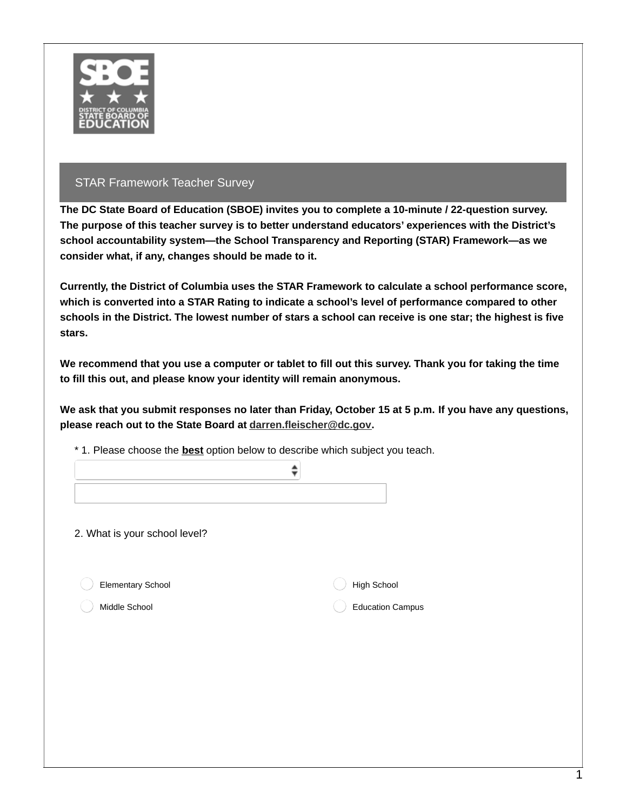

**The DC State Board of Education (SBOE) invites you to complete a 10-minute / 22-question survey. The purpose of this teacher survey is to better understand educators' experiences with the District's school accountability system—the School Transparency and Reporting (STAR) Framework—as we consider what, if any, changes should be made to it.**

**Currently, the District of Columbia uses the STAR Framework to calculate a school performance score, which is converted into a STAR Rating to indicate a school's level of performance compared to other** schools in the District. The lowest number of stars a school can receive is one star; the highest is five **stars.**

We recommend that you use a computer or tablet to fill out this survey. Thank you for taking the time **to fill this out, and please know your identity will remain anonymous.**

We ask that you submit responses no later than Friday, October 15 at 5 p.m. If you have any questions, **please reach out to the State Board at [darren.fleischer@dc.gov](mailto:darren.fleischer@dc.gov).**

| 2. What is your school level? |                         |
|-------------------------------|-------------------------|
| Elementary School             | High School             |
| Middle School                 | <b>Education Campus</b> |

\* 1. Please choose the **best** option below to describe which subject you teach.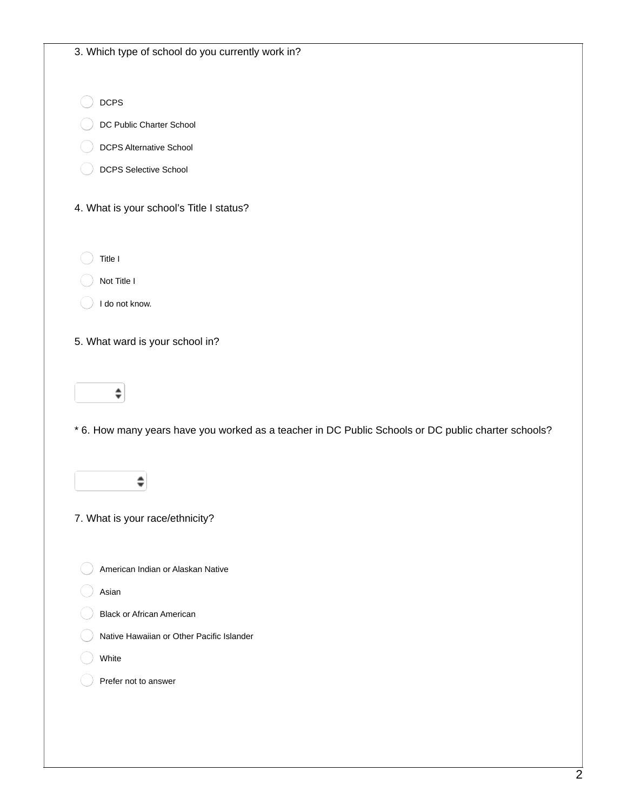| <b>DCPS</b>                                                                                         |
|-----------------------------------------------------------------------------------------------------|
| DC Public Charter School                                                                            |
| <b>DCPS Alternative School</b>                                                                      |
| DCPS Selective School                                                                               |
| 4. What is your school's Title I status?                                                            |
| Title I                                                                                             |
| Not Title I                                                                                         |
| I do not know.                                                                                      |
| 5. What ward is your school in?                                                                     |
| ⇡                                                                                                   |
|                                                                                                     |
| * 6. How many years have you worked as a teacher in DC Public Schools or DC public charter schools? |
|                                                                                                     |
| 7. What is your race/ethnicity?                                                                     |
| American Indian or Alaskan Native                                                                   |
| Asian                                                                                               |
| <b>Black or African American</b>                                                                    |
| Native Hawaiian or Other Pacific Islander                                                           |
| White                                                                                               |
|                                                                                                     |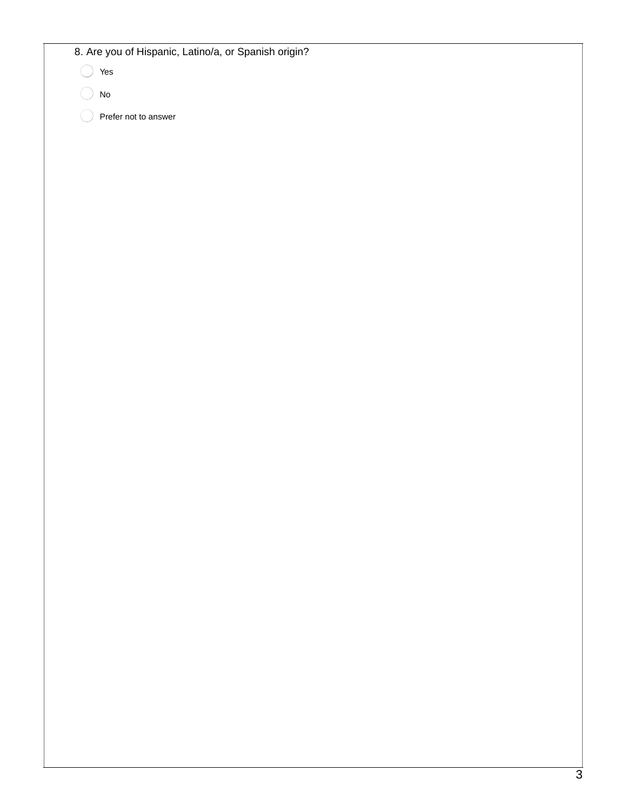8. Are you of Hispanic, Latino/a, or Spanish origin?

Yes

No

Prefer not to answer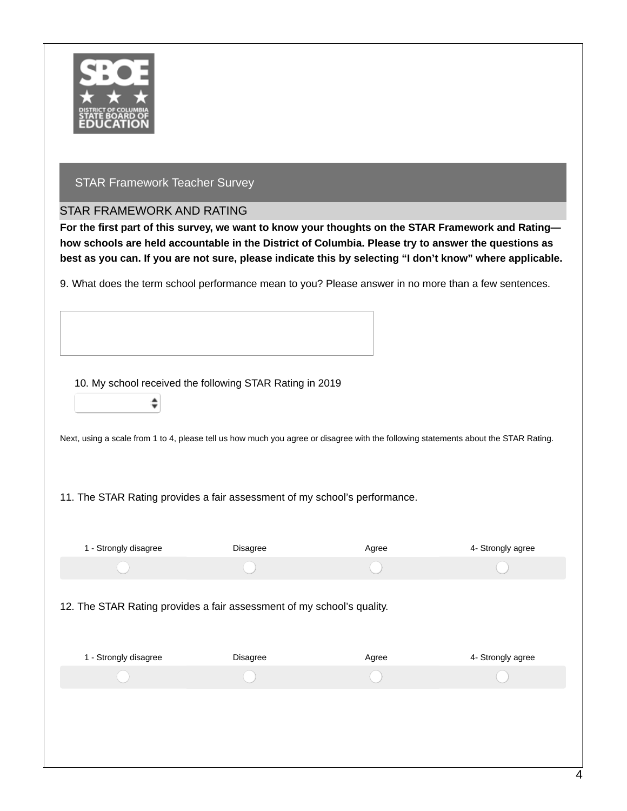

#### STAR FRAMEWORK AND RATING

÷

For the first part of this survey, we want to know your thoughts on the STAR Framework and Rating**how schools are held accountable in the District of Columbia. Please try to answer the questions as** best as you can. If you are not sure, please indicate this by selecting "I don't know" where applicable.

9. What does the term school performance mean to you? Please answer in no more than a few sentences.

10. My school received the following STAR Rating in 2019

Next, using a scale from 1 to 4, please tell us how much you agree or disagree with the following statements about the STAR Rating.

11. The STAR Rating provides a fair assessment of my school's performance.

| 1 - Strongly disagree                                                  | Disagree | Agree | 4- Strongly agree |
|------------------------------------------------------------------------|----------|-------|-------------------|
|                                                                        |          |       |                   |
| 12. The STAR Rating provides a fair assessment of my school's quality. |          |       |                   |
| 1 - Strongly disagree                                                  | Disagree | Agree | 4- Strongly agree |
|                                                                        |          |       |                   |
|                                                                        |          |       |                   |
|                                                                        |          |       |                   |
|                                                                        |          |       |                   |
|                                                                        |          |       |                   |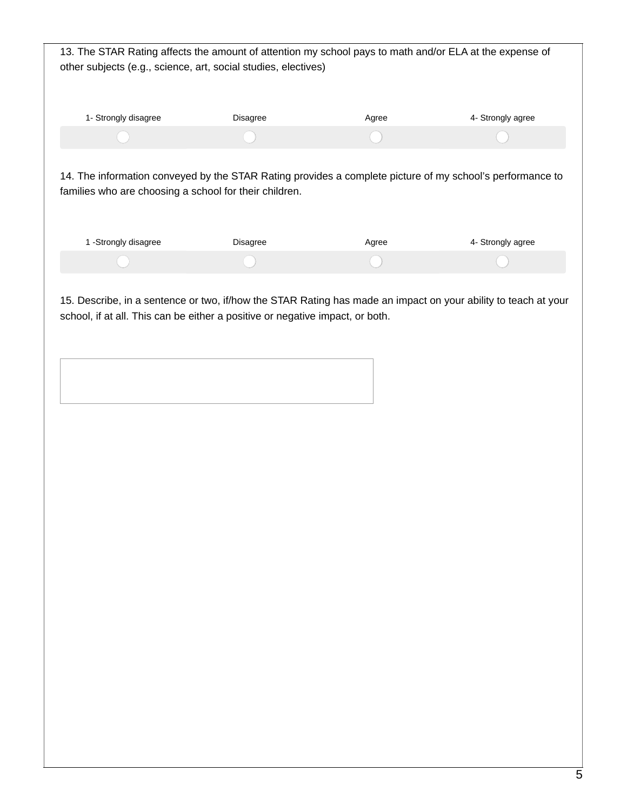| 13. The STAR Rating affects the amount of attention my school pays to math and/or ELA at the expense of<br>other subjects (e.g., science, art, social studies, electives) |                 |       |                   |
|---------------------------------------------------------------------------------------------------------------------------------------------------------------------------|-----------------|-------|-------------------|
| 1- Strongly disagree                                                                                                                                                      | <b>Disagree</b> | Agree | 4- Strongly agree |
|                                                                                                                                                                           |                 |       |                   |
| 14. The information conveyed by the STAR Rating provides a complete picture of my school's performance to<br>families who are choosing a school for their children.       |                 |       |                   |
| 1 -Strongly disagree                                                                                                                                                      | <b>Disagree</b> | Agree | 4- Strongly agree |
|                                                                                                                                                                           |                 |       |                   |
|                                                                                                                                                                           |                 |       |                   |

15. Describe, in a sentence or two, if/how the STAR Rating has made an impact on your ability to teach at your school, if at all. This can be either a positive or negative impact, or both.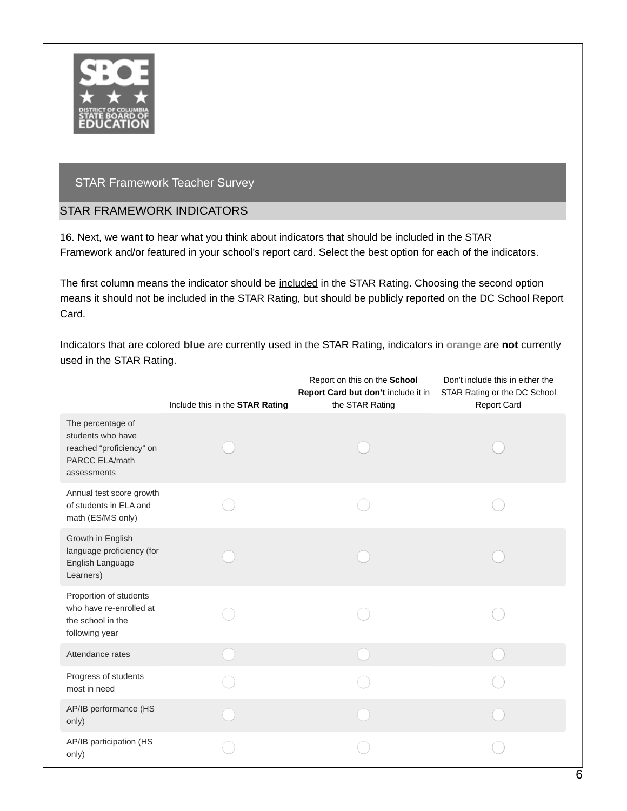

## STAR FRAMEWORK INDICATORS

16. Next, we want to hear what you think about indicators that should be included in the STAR Framework and/or featured in your school's report card. Select the best option for each of the indicators.

The first column means the indicator should be included in the STAR Rating. Choosing the second option means it should not be included in the STAR Rating, but should be publicly reported on the DC School Report Card.

Indicators that are colored **blue** are currently used in the STAR Rating, indicators in **orange** are **not** currently used in the STAR Rating.

|                                                                                                     | Include this in the STAR Rating | Report on this on the School<br>Report Card but don't include it in<br>the STAR Rating | Don't include this in either the<br>STAR Rating or the DC School<br><b>Report Card</b> |
|-----------------------------------------------------------------------------------------------------|---------------------------------|----------------------------------------------------------------------------------------|----------------------------------------------------------------------------------------|
| The percentage of<br>students who have<br>reached "proficiency" on<br>PARCC ELA/math<br>assessments |                                 |                                                                                        |                                                                                        |
| Annual test score growth<br>of students in ELA and<br>math (ES/MS only)                             |                                 |                                                                                        |                                                                                        |
| Growth in English<br>language proficiency (for<br>English Language<br>Learners)                     |                                 |                                                                                        |                                                                                        |
| Proportion of students<br>who have re-enrolled at<br>the school in the<br>following year            |                                 |                                                                                        |                                                                                        |
| Attendance rates                                                                                    |                                 |                                                                                        |                                                                                        |
| Progress of students<br>most in need                                                                |                                 |                                                                                        |                                                                                        |
| AP/IB performance (HS<br>only)                                                                      |                                 |                                                                                        |                                                                                        |
| AP/IB participation (HS<br>only)                                                                    |                                 |                                                                                        |                                                                                        |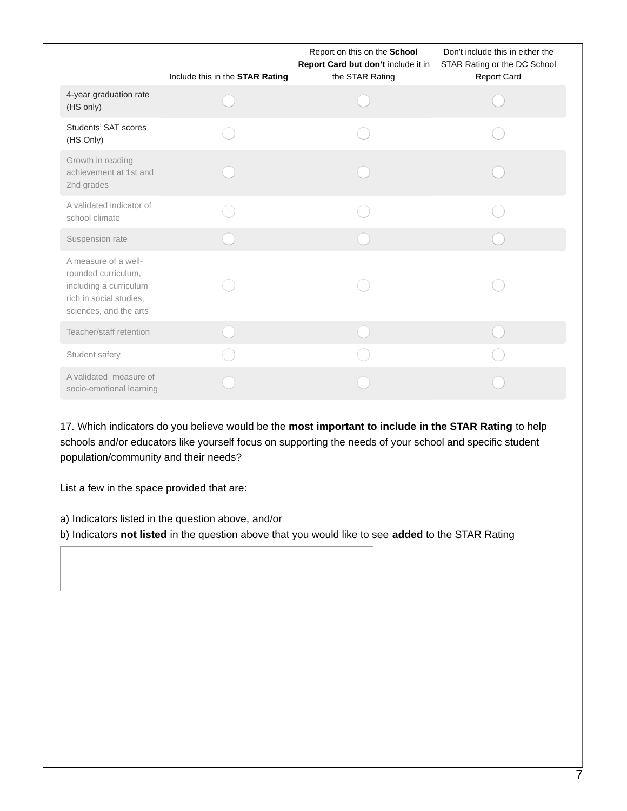|                                                                                                                            | Include this in the STAR Rating | Report on this on the School<br>Report Card but <b>don't</b> include it in<br>the STAR Rating | Don't include this in either the<br>STAR Rating or the DC School<br>Report Card |
|----------------------------------------------------------------------------------------------------------------------------|---------------------------------|-----------------------------------------------------------------------------------------------|---------------------------------------------------------------------------------|
| 4-year graduation rate<br>(HS only)                                                                                        |                                 |                                                                                               |                                                                                 |
| Students' SAT scores<br>(HS Only)                                                                                          |                                 |                                                                                               |                                                                                 |
| Growth in reading<br>achievement at 1st and<br>2nd grades                                                                  |                                 |                                                                                               |                                                                                 |
| A validated indicator of<br>school climate                                                                                 |                                 |                                                                                               |                                                                                 |
| Suspension rate                                                                                                            |                                 |                                                                                               |                                                                                 |
| A measure of a well-<br>rounded curriculum,<br>including a curriculum<br>rich in social studies,<br>sciences, and the arts |                                 |                                                                                               |                                                                                 |
| Teacher/staff retention                                                                                                    |                                 |                                                                                               |                                                                                 |
| Student safety                                                                                                             |                                 |                                                                                               |                                                                                 |
| A validated measure of<br>socio-emotional learning                                                                         |                                 |                                                                                               |                                                                                 |

17. Which indicators do you believe would be the **most important to include in the STAR Rating** to help schools and/or educators like yourself focus on supporting the needs of your school and specific student population/community and their needs?

List a few in the space provided that are:

a) Indicators listed in the question above, and/or

b) Indicators **not listed** in the question above that you would like to see **added** to the STAR Rating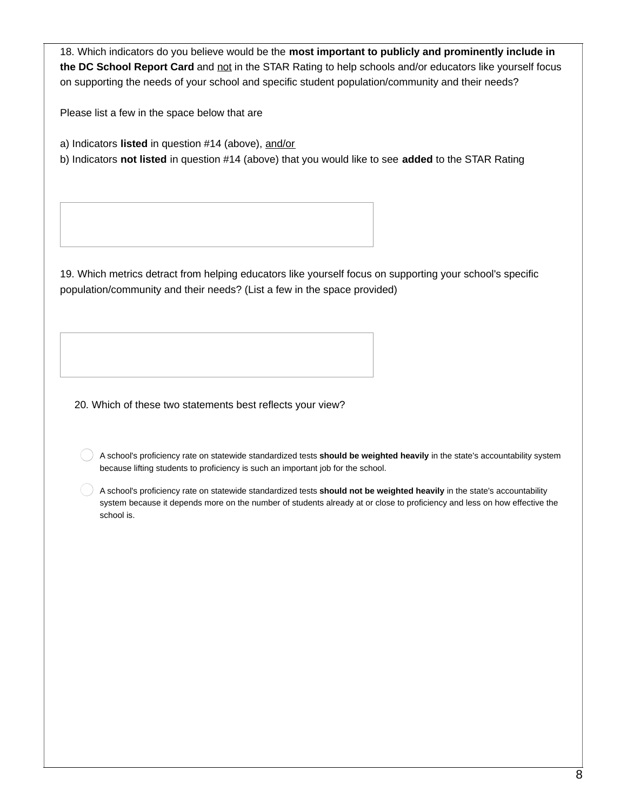18. Which indicators do you believe would be the **most important to publicly and prominently include in the DC School Report Card** and not in the STAR Rating to help schools and/or educators like yourself focus on supporting the needs of your school and specific student population/community and their needs?

Please list a few in the space below that are

a) Indicators **listed** in question #14 (above), and/or

b) Indicators **not listed** in question #14 (above) that you would like to see **added** to the STAR Rating

19. Which metrics detract from helping educators like yourself focus on supporting your school's specific population/community and their needs? (List a few in the space provided)

20. Which of these two statements best reflects your view?

A school's proficiency rate on statewide standardized tests **should be weighted heavily** in the state's accountability system because lifting students to proficiency is such an important job for the school.

A school's proficiency rate on statewide standardized tests **should not be weighted heavily** in the state's accountability system because it depends more on the number of students already at or close to proficiency and less on how effective the school is.